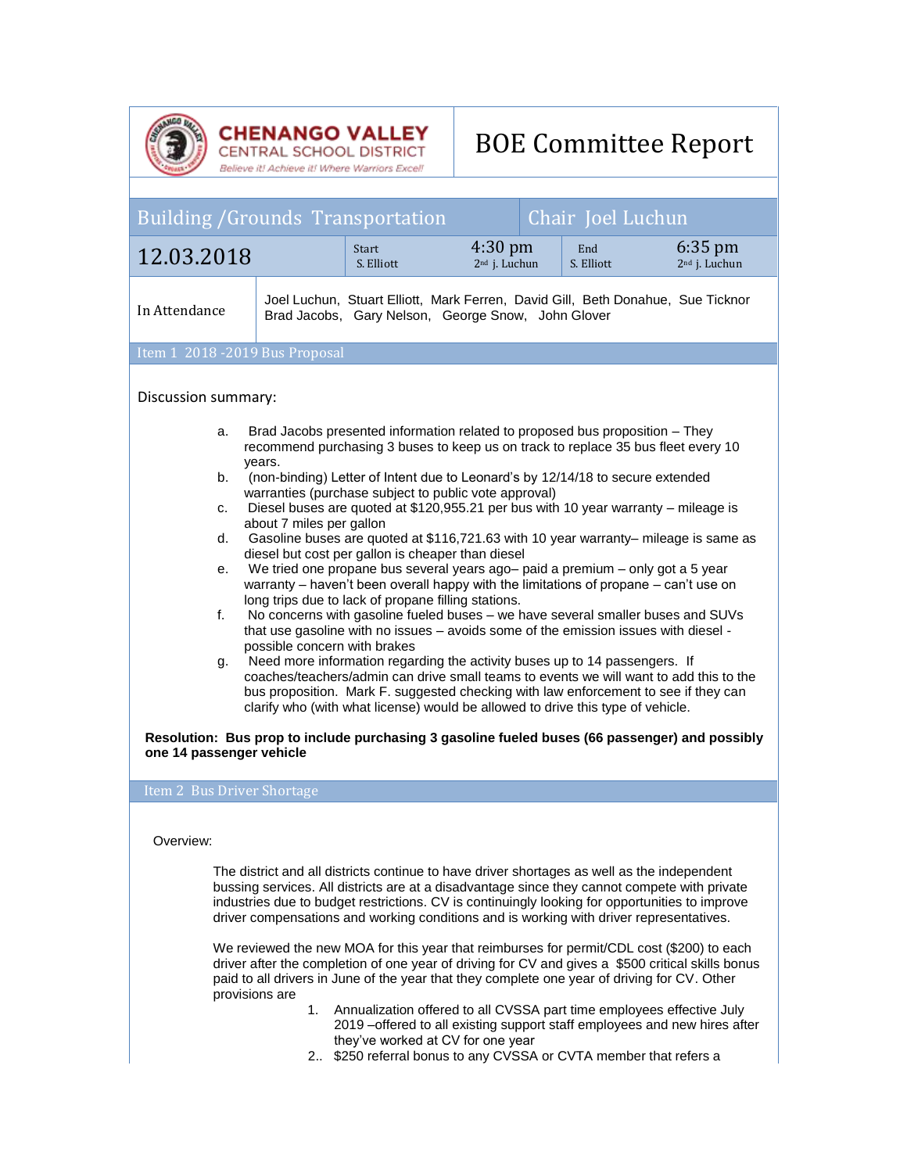

**CHENANGO VALLEY**<br>CENTRAL SCHOOL DISTRICT<br>Believe it! Achieve it! Where Warriors Excel!

## BOE Committee Report

| <b>Building /Grounds Transportation</b><br>Chair Joel Luchun                                                                                                                                                                                                                                                                                                                                                                                                                                                                                                                                                                                                                                                                                                                                                                                                                                                                                                                                                                                                                                                                                                                                                                                                                                                                                                         |                      |                                                                                                                                                                                                                                                                                                                                                                                                                                                                                                                                                               |                                                |                   |                                                |
|----------------------------------------------------------------------------------------------------------------------------------------------------------------------------------------------------------------------------------------------------------------------------------------------------------------------------------------------------------------------------------------------------------------------------------------------------------------------------------------------------------------------------------------------------------------------------------------------------------------------------------------------------------------------------------------------------------------------------------------------------------------------------------------------------------------------------------------------------------------------------------------------------------------------------------------------------------------------------------------------------------------------------------------------------------------------------------------------------------------------------------------------------------------------------------------------------------------------------------------------------------------------------------------------------------------------------------------------------------------------|----------------------|---------------------------------------------------------------------------------------------------------------------------------------------------------------------------------------------------------------------------------------------------------------------------------------------------------------------------------------------------------------------------------------------------------------------------------------------------------------------------------------------------------------------------------------------------------------|------------------------------------------------|-------------------|------------------------------------------------|
| 12.03.2018                                                                                                                                                                                                                                                                                                                                                                                                                                                                                                                                                                                                                                                                                                                                                                                                                                                                                                                                                                                                                                                                                                                                                                                                                                                                                                                                                           |                      | <b>Start</b><br>S. Elliott                                                                                                                                                                                                                                                                                                                                                                                                                                                                                                                                    | $4:30 \text{ pm}$<br>2 <sup>nd</sup> j. Luchun | End<br>S. Elliott | $6:35 \text{ pm}$<br>2 <sup>nd</sup> j. Luchun |
| In Attendance                                                                                                                                                                                                                                                                                                                                                                                                                                                                                                                                                                                                                                                                                                                                                                                                                                                                                                                                                                                                                                                                                                                                                                                                                                                                                                                                                        |                      | Joel Luchun, Stuart Elliott, Mark Ferren, David Gill, Beth Donahue, Sue Ticknor<br>Brad Jacobs, Gary Nelson, George Snow, John Glover                                                                                                                                                                                                                                                                                                                                                                                                                         |                                                |                   |                                                |
| Item 1 2018 - 2019 Bus Proposal                                                                                                                                                                                                                                                                                                                                                                                                                                                                                                                                                                                                                                                                                                                                                                                                                                                                                                                                                                                                                                                                                                                                                                                                                                                                                                                                      |                      |                                                                                                                                                                                                                                                                                                                                                                                                                                                                                                                                                               |                                                |                   |                                                |
| Discussion summary:<br>Brad Jacobs presented information related to proposed bus proposition - They<br>a.<br>recommend purchasing 3 buses to keep us on track to replace 35 bus fleet every 10<br>vears.                                                                                                                                                                                                                                                                                                                                                                                                                                                                                                                                                                                                                                                                                                                                                                                                                                                                                                                                                                                                                                                                                                                                                             |                      |                                                                                                                                                                                                                                                                                                                                                                                                                                                                                                                                                               |                                                |                   |                                                |
| (non-binding) Letter of Intent due to Leonard's by 12/14/18 to secure extended<br>b.<br>warranties (purchase subject to public vote approval)<br>Diesel buses are quoted at \$120,955.21 per bus with 10 year warranty – mileage is<br>C.<br>about 7 miles per gallon<br>Gasoline buses are quoted at \$116,721.63 with 10 year warranty- mileage is same as<br>d.<br>diesel but cost per gallon is cheaper than diesel<br>We tried one propane bus several years ago- paid a premium - only got a 5 year<br>е.<br>warranty – haven't been overall happy with the limitations of propane – can't use on<br>long trips due to lack of propane filling stations.<br>No concerns with gasoline fueled buses - we have several smaller buses and SUVs<br>f.<br>that use gasoline with no issues - avoids some of the emission issues with diesel -<br>possible concern with brakes<br>Need more information regarding the activity buses up to 14 passengers. If<br>g.<br>coaches/teachers/admin can drive small teams to events we will want to add this to the<br>bus proposition. Mark F. suggested checking with law enforcement to see if they can<br>clarify who (with what license) would be allowed to drive this type of vehicle.<br>Resolution: Bus prop to include purchasing 3 gasoline fueled buses (66 passenger) and possibly<br>one 14 passenger vehicle |                      |                                                                                                                                                                                                                                                                                                                                                                                                                                                                                                                                                               |                                                |                   |                                                |
| Item 2 Bus Driver Shortage                                                                                                                                                                                                                                                                                                                                                                                                                                                                                                                                                                                                                                                                                                                                                                                                                                                                                                                                                                                                                                                                                                                                                                                                                                                                                                                                           |                      |                                                                                                                                                                                                                                                                                                                                                                                                                                                                                                                                                               |                                                |                   |                                                |
| Overview:<br>The district and all districts continue to have driver shortages as well as the independent                                                                                                                                                                                                                                                                                                                                                                                                                                                                                                                                                                                                                                                                                                                                                                                                                                                                                                                                                                                                                                                                                                                                                                                                                                                             |                      |                                                                                                                                                                                                                                                                                                                                                                                                                                                                                                                                                               |                                                |                   |                                                |
| bussing services. All districts are at a disadvantage since they cannot compete with private<br>industries due to budget restrictions. CV is continuingly looking for opportunities to improve<br>driver compensations and working conditions and is working with driver representatives.                                                                                                                                                                                                                                                                                                                                                                                                                                                                                                                                                                                                                                                                                                                                                                                                                                                                                                                                                                                                                                                                            |                      |                                                                                                                                                                                                                                                                                                                                                                                                                                                                                                                                                               |                                                |                   |                                                |
|                                                                                                                                                                                                                                                                                                                                                                                                                                                                                                                                                                                                                                                                                                                                                                                                                                                                                                                                                                                                                                                                                                                                                                                                                                                                                                                                                                      | provisions are<br>1. | We reviewed the new MOA for this year that reimburses for permit/CDL cost (\$200) to each<br>driver after the completion of one year of driving for CV and gives a \$500 critical skills bonus<br>paid to all drivers in June of the year that they complete one year of driving for CV. Other<br>Annualization offered to all CVSSA part time employees effective July<br>2019 -offered to all existing support staff employees and new hires after<br>they've worked at CV for one year<br>2 \$250 referral bonus to any CVSSA or CVTA member that refers a |                                                |                   |                                                |